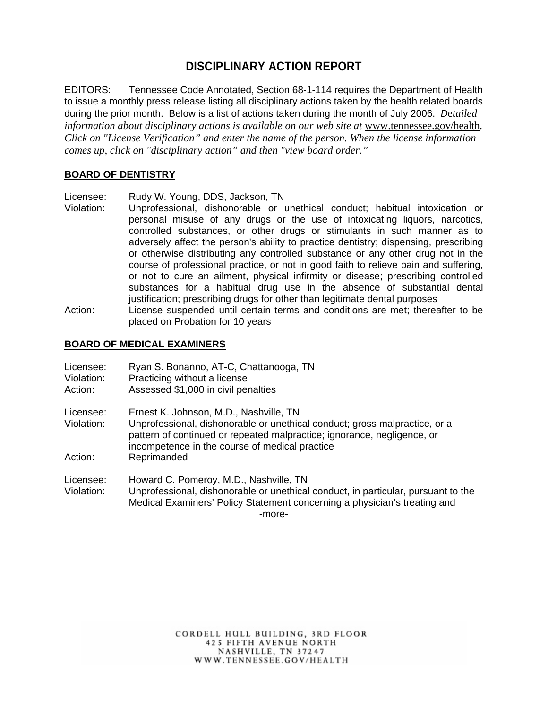# **DISCIPLINARY ACTION REPORT**

EDITORS: Tennessee Code Annotated, Section 68-1-114 requires the Department of Health to issue a monthly press release listing all disciplinary actions taken by the health related boards during the prior month. Below is a list of actions taken during the month of July 2006. *D*e*tailed information about disciplinary actions is available on our web site at www.tennessee.gov/health. Click on "License Verification" and enter the name of the person. When the license information comes up, click on "disciplinary action" and then "view board order."* 

#### **BOARD OF DENTISTRY**

Licensee: Rudy W. Young, DDS, Jackson, TN

- Violation: Unprofessional, dishonorable or unethical conduct; habitual intoxication or personal misuse of any drugs or the use of intoxicating liquors, narcotics, controlled substances, or other drugs or stimulants in such manner as to adversely affect the person's ability to practice dentistry; dispensing, prescribing or otherwise distributing any controlled substance or any other drug not in the course of professional practice, or not in good faith to relieve pain and suffering, or not to cure an ailment, physical infirmity or disease; prescribing controlled substances for a habitual drug use in the absence of substantial dental justification; prescribing drugs for other than legitimate dental purposes
- Action: License suspended until certain terms and conditions are met; thereafter to be placed on Probation for 10 years

### **BOARD OF MEDICAL EXAMINERS**

| Licensee:<br>Violation:<br>Action: | Ryan S. Bonanno, AT-C, Chattanooga, TN<br>Practicing without a license<br>Assessed \$1,000 in civil penalties                                                                                           |
|------------------------------------|---------------------------------------------------------------------------------------------------------------------------------------------------------------------------------------------------------|
| Licensee:                          | Ernest K. Johnson, M.D., Nashville, TN                                                                                                                                                                  |
| Violation:                         | Unprofessional, dishonorable or unethical conduct; gross malpractice, or a<br>pattern of continued or repeated malpractice; ignorance, negligence, or<br>incompetence in the course of medical practice |
| Action:                            | Reprimanded                                                                                                                                                                                             |
| Licensee:                          | Howard C. Pomeroy, M.D., Nashville, TN                                                                                                                                                                  |
| Violation:                         | Unprofessional, dishonorable or unethical conduct, in particular, pursuant to the                                                                                                                       |
|                                    | Medical Examiners' Policy Statement concerning a physician's treating and<br>-more-                                                                                                                     |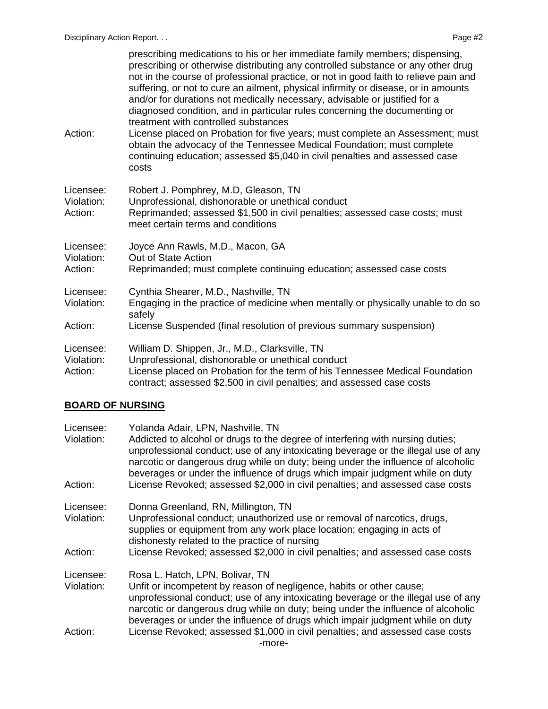| Action:                            | prescribing medications to his or her immediate family members; dispensing,<br>prescribing or otherwise distributing any controlled substance or any other drug<br>not in the course of professional practice, or not in good faith to relieve pain and<br>suffering, or not to cure an ailment, physical infirmity or disease, or in amounts<br>and/or for durations not medically necessary, advisable or justified for a<br>diagnosed condition, and in particular rules concerning the documenting or<br>treatment with controlled substances<br>License placed on Probation for five years; must complete an Assessment; must<br>obtain the advocacy of the Tennessee Medical Foundation; must complete<br>continuing education; assessed \$5,040 in civil penalties and assessed case<br>costs |
|------------------------------------|------------------------------------------------------------------------------------------------------------------------------------------------------------------------------------------------------------------------------------------------------------------------------------------------------------------------------------------------------------------------------------------------------------------------------------------------------------------------------------------------------------------------------------------------------------------------------------------------------------------------------------------------------------------------------------------------------------------------------------------------------------------------------------------------------|
| Licensee:<br>Violation:<br>Action: | Robert J. Pomphrey, M.D, Gleason, TN<br>Unprofessional, dishonorable or unethical conduct<br>Reprimanded; assessed \$1,500 in civil penalties; assessed case costs; must<br>meet certain terms and conditions                                                                                                                                                                                                                                                                                                                                                                                                                                                                                                                                                                                        |
| Licensee:<br>Violation:<br>Action: | Joyce Ann Rawls, M.D., Macon, GA<br>Out of State Action<br>Reprimanded; must complete continuing education; assessed case costs                                                                                                                                                                                                                                                                                                                                                                                                                                                                                                                                                                                                                                                                      |
| Licensee:<br>Violation:            | Cynthia Shearer, M.D., Nashville, TN<br>Engaging in the practice of medicine when mentally or physically unable to do so<br>safely                                                                                                                                                                                                                                                                                                                                                                                                                                                                                                                                                                                                                                                                   |
| Action:                            | License Suspended (final resolution of previous summary suspension)                                                                                                                                                                                                                                                                                                                                                                                                                                                                                                                                                                                                                                                                                                                                  |
| Licensee:<br>Violation:<br>Action: | William D. Shippen, Jr., M.D., Clarksville, TN<br>Unprofessional, dishonorable or unethical conduct<br>License placed on Probation for the term of his Tennessee Medical Foundation<br>contract; assessed \$2,500 in civil penalties; and assessed case costs                                                                                                                                                                                                                                                                                                                                                                                                                                                                                                                                        |

### **BOARD OF NURSING**

| Licensee:<br>Violation:<br>Action: | Yolanda Adair, LPN, Nashville, TN<br>Addicted to alcohol or drugs to the degree of interfering with nursing duties;<br>unprofessional conduct; use of any intoxicating beverage or the illegal use of any<br>narcotic or dangerous drug while on duty; being under the influence of alcoholic<br>beverages or under the influence of drugs which impair judgment while on duty<br>License Revoked; assessed \$2,000 in civil penalties; and assessed case costs |
|------------------------------------|-----------------------------------------------------------------------------------------------------------------------------------------------------------------------------------------------------------------------------------------------------------------------------------------------------------------------------------------------------------------------------------------------------------------------------------------------------------------|
|                                    |                                                                                                                                                                                                                                                                                                                                                                                                                                                                 |
| Licensee:<br>Violation:            | Donna Greenland, RN, Millington, TN<br>Unprofessional conduct; unauthorized use or removal of narcotics, drugs,<br>supplies or equipment from any work place location; engaging in acts of<br>dishonesty related to the practice of nursing                                                                                                                                                                                                                     |
| Action:                            | License Revoked; assessed \$2,000 in civil penalties; and assessed case costs                                                                                                                                                                                                                                                                                                                                                                                   |
| Licensee:                          | Rosa L. Hatch, LPN, Bolivar, TN                                                                                                                                                                                                                                                                                                                                                                                                                                 |
| Violation:                         | Unfit or incompetent by reason of negligence, habits or other cause;<br>unprofessional conduct; use of any intoxicating beverage or the illegal use of any<br>narcotic or dangerous drug while on duty; being under the influence of alcoholic<br>beverages or under the influence of drugs which impair judgment while on duty                                                                                                                                 |
| Action:                            | License Revoked; assessed \$1,000 in civil penalties; and assessed case costs<br>-more-                                                                                                                                                                                                                                                                                                                                                                         |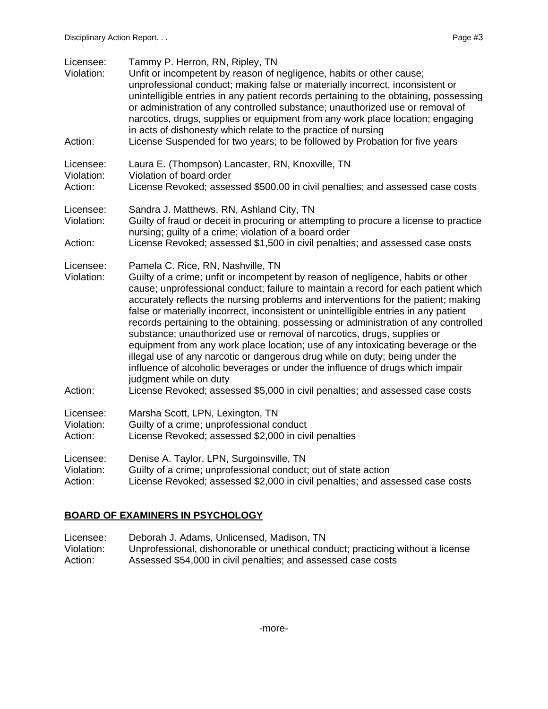| Licensee:<br>Violation:<br>Action: | Tammy P. Herron, RN, Ripley, TN<br>Unfit or incompetent by reason of negligence, habits or other cause;<br>unprofessional conduct; making false or materially incorrect, inconsistent or<br>unintelligible entries in any patient records pertaining to the obtaining, possessing<br>or administration of any controlled substance; unauthorized use or removal of<br>narcotics, drugs, supplies or equipment from any work place location; engaging<br>in acts of dishonesty which relate to the practice of nursing<br>License Suspended for two years; to be followed by Probation for five years                                                                                                                                                                                                                                                                                                                       |
|------------------------------------|----------------------------------------------------------------------------------------------------------------------------------------------------------------------------------------------------------------------------------------------------------------------------------------------------------------------------------------------------------------------------------------------------------------------------------------------------------------------------------------------------------------------------------------------------------------------------------------------------------------------------------------------------------------------------------------------------------------------------------------------------------------------------------------------------------------------------------------------------------------------------------------------------------------------------|
| Licensee:<br>Violation:<br>Action: | Laura E. (Thompson) Lancaster, RN, Knoxville, TN<br>Violation of board order<br>License Revoked; assessed \$500.00 in civil penalties; and assessed case costs                                                                                                                                                                                                                                                                                                                                                                                                                                                                                                                                                                                                                                                                                                                                                             |
| Licensee:<br>Violation:            | Sandra J. Matthews, RN, Ashland City, TN<br>Guilty of fraud or deceit in procuring or attempting to procure a license to practice<br>nursing; guilty of a crime; violation of a board order                                                                                                                                                                                                                                                                                                                                                                                                                                                                                                                                                                                                                                                                                                                                |
| Action:                            | License Revoked; assessed \$1,500 in civil penalties; and assessed case costs                                                                                                                                                                                                                                                                                                                                                                                                                                                                                                                                                                                                                                                                                                                                                                                                                                              |
| Licensee:<br>Violation:<br>Action: | Pamela C. Rice, RN, Nashville, TN<br>Guilty of a crime; unfit or incompetent by reason of negligence, habits or other<br>cause; unprofessional conduct; failure to maintain a record for each patient which<br>accurately reflects the nursing problems and interventions for the patient; making<br>false or materially incorrect, inconsistent or unintelligible entries in any patient<br>records pertaining to the obtaining, possessing or administration of any controlled<br>substance; unauthorized use or removal of narcotics, drugs, supplies or<br>equipment from any work place location; use of any intoxicating beverage or the<br>illegal use of any narcotic or dangerous drug while on duty; being under the<br>influence of alcoholic beverages or under the influence of drugs which impair<br>judgment while on duty<br>License Revoked; assessed \$5,000 in civil penalties; and assessed case costs |
| Licensee:<br>Violation:<br>Action: | Marsha Scott, LPN, Lexington, TN<br>Guilty of a crime; unprofessional conduct<br>License Revoked; assessed \$2,000 in civil penalties                                                                                                                                                                                                                                                                                                                                                                                                                                                                                                                                                                                                                                                                                                                                                                                      |
| Licensee:<br>Violation:<br>Action: | Denise A. Taylor, LPN, Surgoinsville, TN<br>Guilty of a crime; unprofessional conduct; out of state action<br>License Revoked; assessed \$2,000 in civil penalties; and assessed case costs                                                                                                                                                                                                                                                                                                                                                                                                                                                                                                                                                                                                                                                                                                                                |

# **BOARD OF EXAMINERS IN PSYCHOLOGY**

Licensee: Deborah J. Adams, Unlicensed, Madison, TN Violation: Unprofessional, dishonorable or unethical conduct; practicing without a license Action: Assessed \$54,000 in civil penalties; and assessed case costs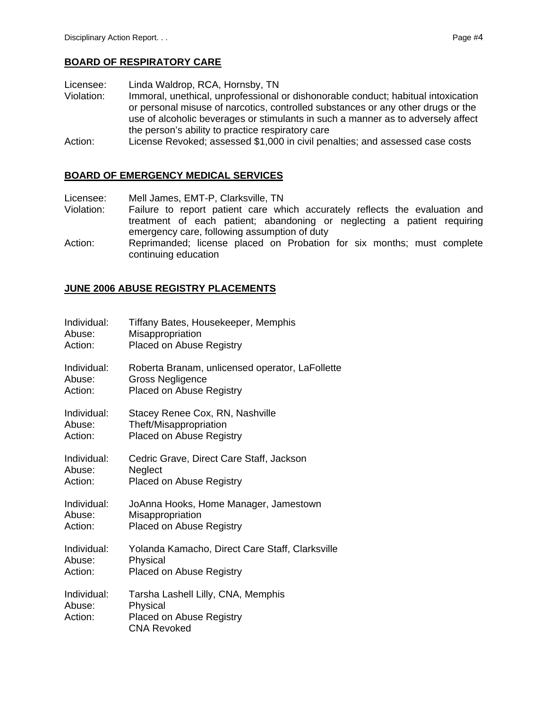### **BOARD OF RESPIRATORY CARE**

Licensee: Linda Waldrop, RCA, Hornsby, TN

- Violation: Immoral, unethical, unprofessional or dishonorable conduct; habitual intoxication or personal misuse of narcotics, controlled substances or any other drugs or the use of alcoholic beverages or stimulants in such a manner as to adversely affect the person's ability to practice respiratory care
- Action: License Revoked; assessed \$1,000 in civil penalties; and assessed case costs

#### **BOARD OF EMERGENCY MEDICAL SERVICES**

Licensee: Mell James, EMT-P, Clarksville, TN

- Violation: Failure to report patient care which accurately reflects the evaluation and treatment of each patient; abandoning or neglecting a patient requiring emergency care, following assumption of duty
- Action: Reprimanded; license placed on Probation for six months; must complete continuing education

### **JUNE 2006 ABUSE REGISTRY PLACEMENTS**

| Individual:                      | Tiffany Bates, Housekeeper, Memphis                                                                     |
|----------------------------------|---------------------------------------------------------------------------------------------------------|
| Abuse:                           | Misappropriation                                                                                        |
| Action:                          | Placed on Abuse Registry                                                                                |
| Individual:                      | Roberta Branam, unlicensed operator, LaFollette                                                         |
| Abuse:                           | <b>Gross Negligence</b>                                                                                 |
| Action:                          | Placed on Abuse Registry                                                                                |
| Individual:                      | Stacey Renee Cox, RN, Nashville                                                                         |
| Abuse:                           | Theft/Misappropriation                                                                                  |
| Action:                          | Placed on Abuse Registry                                                                                |
| Individual:                      | Cedric Grave, Direct Care Staff, Jackson                                                                |
| Abuse:                           | Neglect                                                                                                 |
| Action:                          | <b>Placed on Abuse Registry</b>                                                                         |
| Individual:                      | JoAnna Hooks, Home Manager, Jamestown                                                                   |
| Abuse:                           | Misappropriation                                                                                        |
| Action:                          | Placed on Abuse Registry                                                                                |
| Individual:                      | Yolanda Kamacho, Direct Care Staff, Clarksville                                                         |
| Abuse:                           | Physical                                                                                                |
| Action:                          | <b>Placed on Abuse Registry</b>                                                                         |
| Individual:<br>Abuse:<br>Action: | Tarsha Lashell Lilly, CNA, Memphis<br>Physical<br><b>Placed on Abuse Registry</b><br><b>CNA Revoked</b> |